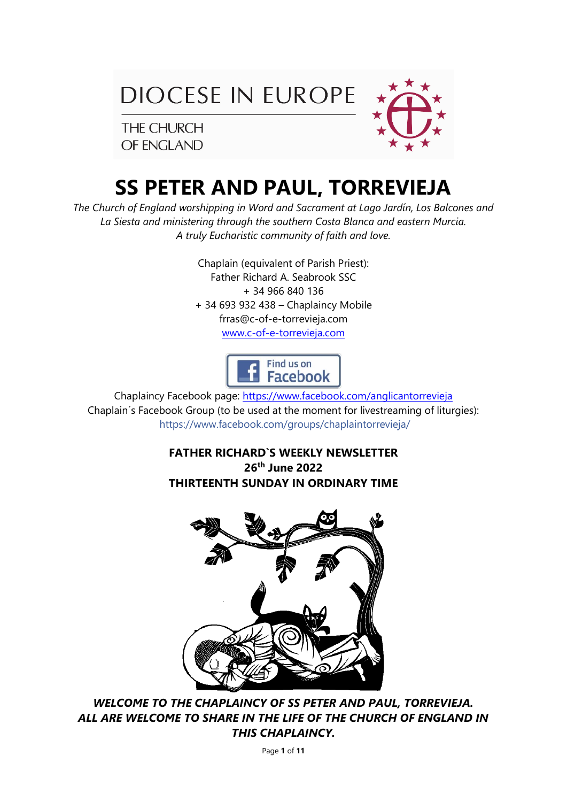

THE CHURCH OF ENGLAND



# **SS PETER AND PAUL, TORREVIEJA**

*The Church of England worshipping in Word and Sacrament at Lago Jardín, Los Balcones and La Siesta and ministering through the southern Costa Blanca and eastern Murcia. A truly Eucharistic community of faith and love.*

> Chaplain (equivalent of Parish Priest): Father Richard A. Seabrook SSC + 34 966 840 136 + 34 693 932 438 – Chaplaincy Mobile frras@c-of-e-torrevieja.com [www.c-of-e-torrevieja.com](http://www.c-of-e-torrevieja.com/)



Chaplaincy Facebook page: https://www.facebook.com/anglicantorrevieja Chaplain´s Facebook Group (to be used at the moment for livestreaming of liturgies): <https://www.facebook.com/groups/chaplaintorrevieja/>

> **FATHER RICHARD`S WEEKLY NEWSLETTER 26th June 2022 THIRTEENTH SUNDAY IN ORDINARY TIME**



*WELCOME TO THE CHAPLAINCY OF SS PETER AND PAUL, TORREVIEJA. ALL ARE WELCOME TO SHARE IN THE LIFE OF THE CHURCH OF ENGLAND IN THIS CHAPLAINCY.*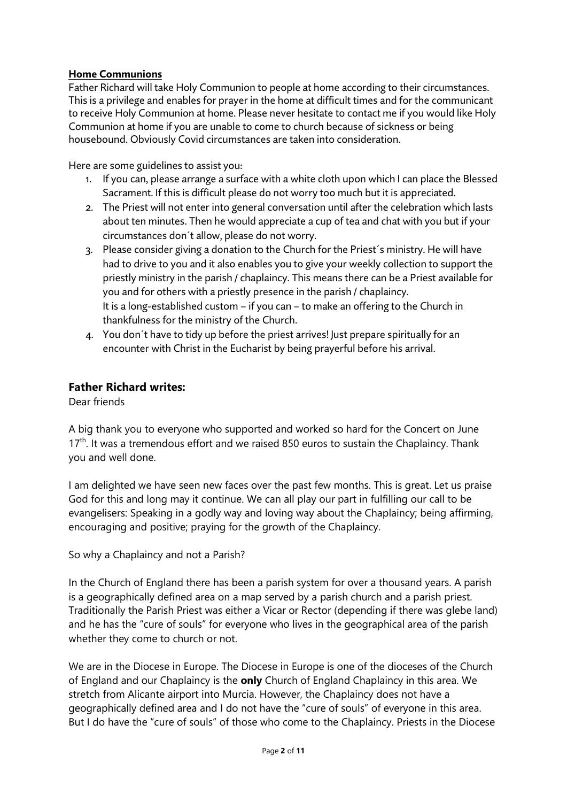# **Home Communions**

Father Richard will take Holy Communion to people at home according to their circumstances. This is a privilege and enables for prayer in the home at difficult times and for the communicant to receive Holy Communion at home. Please never hesitate to contact me if you would like Holy Communion at home if you are unable to come to church because of sickness or being housebound. Obviously Covid circumstances are taken into consideration.

Here are some guidelines to assist you:

- 1. If you can, please arrange a surface with a white cloth upon which I can place the Blessed Sacrament. If this is difficult please do not worry too much but it is appreciated.
- 2. The Priest will not enter into general conversation until after the celebration which lasts about ten minutes. Then he would appreciate a cup of tea and chat with you but if your circumstances don´t allow, please do not worry.
- 3. Please consider giving a donation to the Church for the Priest´s ministry. He will have had to drive to you and it also enables you to give your weekly collection to support the priestly ministry in the parish / chaplaincy. This means there can be a Priest available for you and for others with a priestly presence in the parish / chaplaincy. It is a long-established custom – if you can – to make an offering to the Church in thankfulness for the ministry of the Church.
- 4. You don´t have to tidy up before the priest arrives! Just prepare spiritually for an encounter with Christ in the Eucharist by being prayerful before his arrival.

# **Father Richard writes:**

Dear friends

A big thank you to everyone who supported and worked so hard for the Concert on June  $17<sup>th</sup>$ . It was a tremendous effort and we raised 850 euros to sustain the Chaplaincy. Thank you and well done.

I am delighted we have seen new faces over the past few months. This is great. Let us praise God for this and long may it continue. We can all play our part in fulfilling our call to be evangelisers: Speaking in a godly way and loving way about the Chaplaincy; being affirming, encouraging and positive; praying for the growth of the Chaplaincy.

So why a Chaplaincy and not a Parish?

In the Church of England there has been a parish system for over a thousand years. A parish is a geographically defined area on a map served by a parish church and a parish priest. Traditionally the Parish Priest was either a Vicar or Rector (depending if there was glebe land) and he has the "cure of souls" for everyone who lives in the geographical area of the parish whether they come to church or not.

We are in the Diocese in Europe. The Diocese in Europe is one of the dioceses of the Church of England and our Chaplaincy is the **only** Church of England Chaplaincy in this area. We stretch from Alicante airport into Murcia. However, the Chaplaincy does not have a geographically defined area and I do not have the "cure of souls" of everyone in this area. But I do have the "cure of souls" of those who come to the Chaplaincy. Priests in the Diocese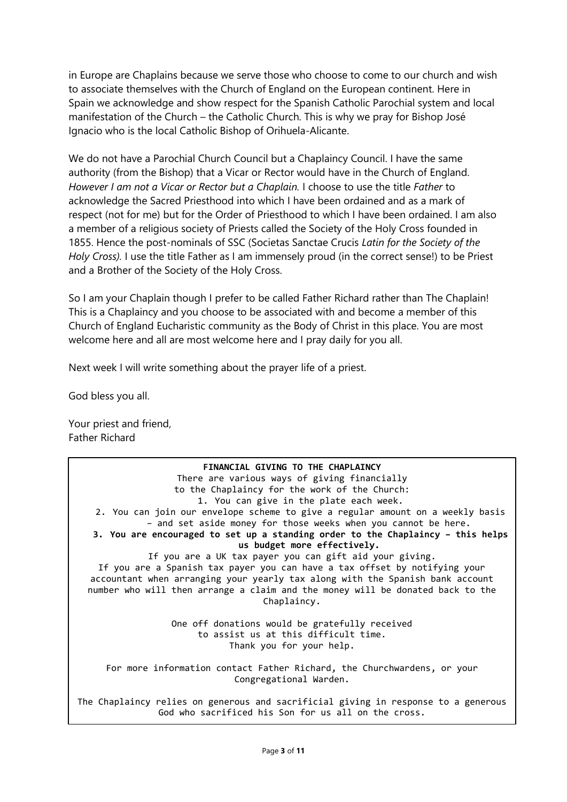in Europe are Chaplains because we serve those who choose to come to our church and wish to associate themselves with the Church of England on the European continent. Here in Spain we acknowledge and show respect for the Spanish Catholic Parochial system and local manifestation of the Church – the Catholic Church. This is why we pray for Bishop José Ignacio who is the local Catholic Bishop of Orihuela-Alicante.

We do not have a Parochial Church Council but a Chaplaincy Council. I have the same authority (from the Bishop) that a Vicar or Rector would have in the Church of England. *However I am not a Vicar or Rector but a Chaplain.* I choose to use the title *Father* to acknowledge the Sacred Priesthood into which I have been ordained and as a mark of respect (not for me) but for the Order of Priesthood to which I have been ordained. I am also a member of a religious society of Priests called the Society of the Holy Cross founded in 1855. Hence the post-nominals of SSC (Societas Sanctae Crucis *Latin for the Society of the Holy Cross).* I use the title Father as I am immensely proud (in the correct sense!) to be Priest and a Brother of the Society of the Holy Cross.

So I am your Chaplain though I prefer to be called Father Richard rather than The Chaplain! This is a Chaplaincy and you choose to be associated with and become a member of this Church of England Eucharistic community as the Body of Christ in this place. You are most welcome here and all are most welcome here and I pray daily for you all.

Next week I will write something about the prayer life of a priest.

God bless you all.

Your priest and friend, Father Richard

**FINANCIAL GIVING TO THE CHAPLAINCY** There are various ways of giving financially to the Chaplaincy for the work of the Church: 1. You can give in the plate each week. 2. You can join our envelope scheme to give a regular amount on a weekly basis – and set aside money for those weeks when you cannot be here. **3. You are encouraged to set up a standing order to the Chaplaincy – this helps us budget more effectively.** If you are a UK tax payer you can gift aid your giving. If you are a Spanish tax payer you can have a tax offset by notifying your accountant when arranging your yearly tax along with the Spanish bank account number who will then arrange a claim and the money will be donated back to the Chaplaincy. One off donations would be gratefully received to assist us at this difficult time. Thank you for your help. For more information contact Father Richard, the Churchwardens, or your Congregational Warden. The Chaplaincy relies on generous and sacrificial giving in response to a generous

God who sacrificed his Son for us all on the cross.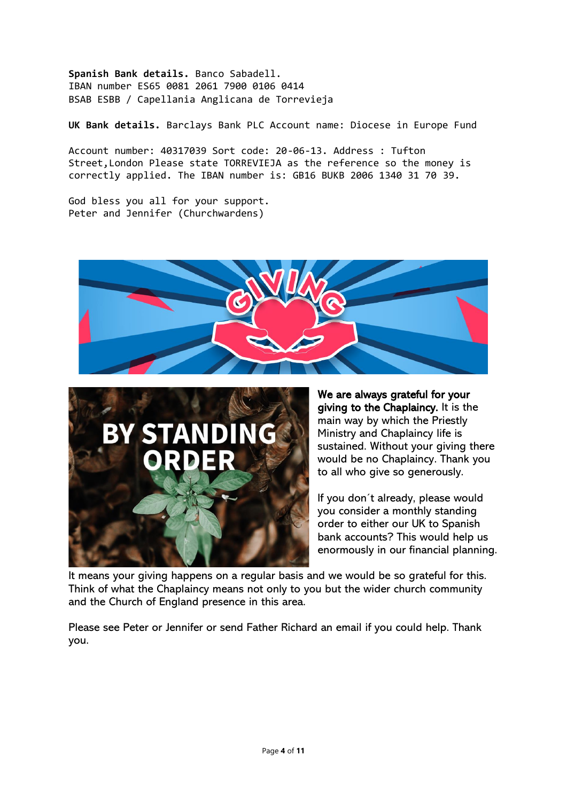**Spanish Bank details.** Banco Sabadell. IBAN number ES65 0081 2061 7900 0106 0414 BSAB ESBB / Capellania Anglicana de Torrevieja

**UK Bank details.** Barclays Bank PLC Account name: Diocese in Europe Fund

Account number: 40317039 Sort code: 20-06-13. Address : Tufton Street,London Please state TORREVIEJA as the reference so the money is correctly applied. The IBAN number is: GB16 BUKB 2006 1340 31 70 39.

God bless you all for your support. Peter and Jennifer (Churchwardens)





We are always grateful for your giving to the Chaplaincy. It is the main way by which the Priestly Ministry and Chaplaincy life is sustained. Without your giving there would be no Chaplaincy. Thank you to all who give so generously.

If you don´t already, please would you consider a monthly standing order to either our UK to Spanish bank accounts? This would help us enormously in our financial planning.

It means your giving happens on a regular basis and we would be so grateful for this. Think of what the Chaplaincy means not only to you but the wider church community and the Church of England presence in this area.

Please see Peter or Jennifer or send Father Richard an email if you could help. Thank you.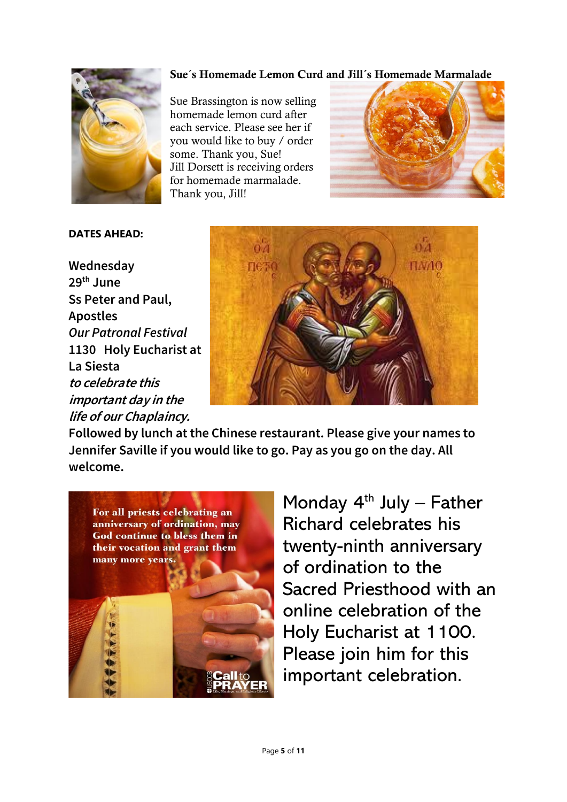## Sue´s Homemade Lemon Curd and Jill´s Homemade Marmalade



Sue Brassington is now selling homemade lemon curd after each service. Please see her if you would like to buy / order some. Thank you, Sue! Jill Dorsett is receiving orders for homemade marmalade. Thank you, Jill!



# **DATES AHEAD:**

**Wednesday 29th June Ss Peter and Paul, Apostles** *Our Patronal Festival* **1130 Holy Eucharist at La Siesta to celebrate this important day in the life of our Chaplaincy.**



**Followed by lunch at the Chinese restaurant. Please give your names to Jennifer Saville if you would like to go. Pay as you go on the day. All welcome.**



Monday  $4<sup>th</sup>$  July – Father Richard celebrates his twenty-ninth anniversary of ordination to the Sacred Priesthood with an online celebration of the Holy Eucharist at 1100. Please join him for this important celebration.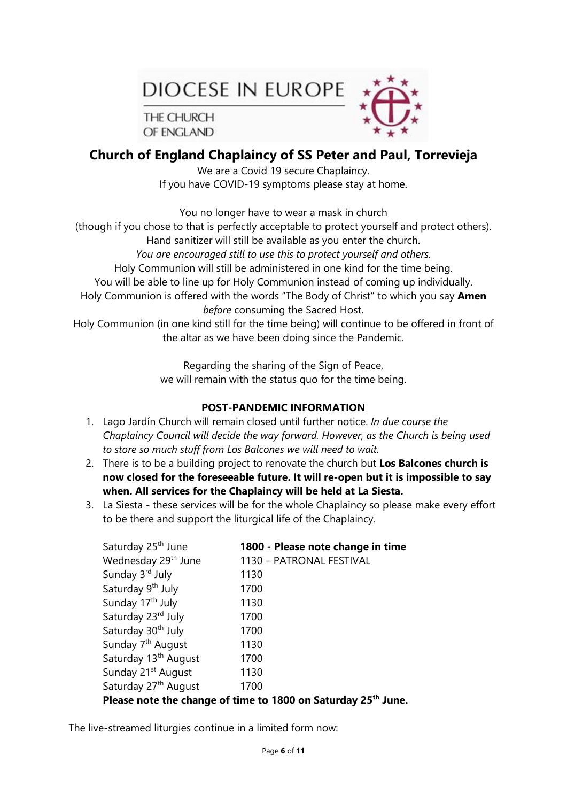DIOCESE IN EUROPE

THE CHURCH OF ENGLAND



# **Church of England Chaplaincy of SS Peter and Paul, Torrevieja**

We are a Covid 19 secure Chaplaincy. If you have COVID-19 symptoms please stay at home.

You no longer have to wear a mask in church

(though if you chose to that is perfectly acceptable to protect yourself and protect others).

Hand sanitizer will still be available as you enter the church.

*You are encouraged still to use this to protect yourself and others.*

Holy Communion will still be administered in one kind for the time being.

You will be able to line up for Holy Communion instead of coming up individually.

Holy Communion is offered with the words "The Body of Christ" to which you say **Amen**  *before* consuming the Sacred Host.

Holy Communion (in one kind still for the time being) will continue to be offered in front of the altar as we have been doing since the Pandemic.

> Regarding the sharing of the Sign of Peace, we will remain with the status quo for the time being.

# **POST-PANDEMIC INFORMATION**

- 1. Lago Jardín Church will remain closed until further notice. *In due course the Chaplaincy Council will decide the way forward. However, as the Church is being used to store so much stuff from Los Balcones we will need to wait.*
- 2. There is to be a building project to renovate the church but **Los Balcones church is now closed for the foreseeable future. It will re-open but it is impossible to say when. All services for the Chaplaincy will be held at La Siesta.**
- 3. La Siesta these services will be for the whole Chaplaincy so please make every effort to be there and support the liturgical life of the Chaplaincy.

| Saturday 25 <sup>th</sup> June                                            | 1800 - Please note change in time |  |  |
|---------------------------------------------------------------------------|-----------------------------------|--|--|
| Wednesday 29 <sup>th</sup> June                                           | 1130 - PATRONAL FESTIVAL          |  |  |
| Sunday 3rd July                                                           | 1130                              |  |  |
| Saturday 9 <sup>th</sup> July                                             | 1700                              |  |  |
| Sunday 17 <sup>th</sup> July                                              | 1130                              |  |  |
| Saturday 23rd July                                                        | 1700                              |  |  |
| Saturday 30 <sup>th</sup> July                                            | 1700                              |  |  |
| Sunday 7 <sup>th</sup> August                                             | 1130                              |  |  |
| Saturday 13 <sup>th</sup> August                                          | 1700                              |  |  |
| Sunday 21 <sup>st</sup> August                                            | 1130                              |  |  |
| Saturday 27 <sup>th</sup> August                                          | 1700                              |  |  |
| Please note the change of time to 1800 on Saturday 25 <sup>th</sup> June. |                                   |  |  |

The live-streamed liturgies continue in a limited form now: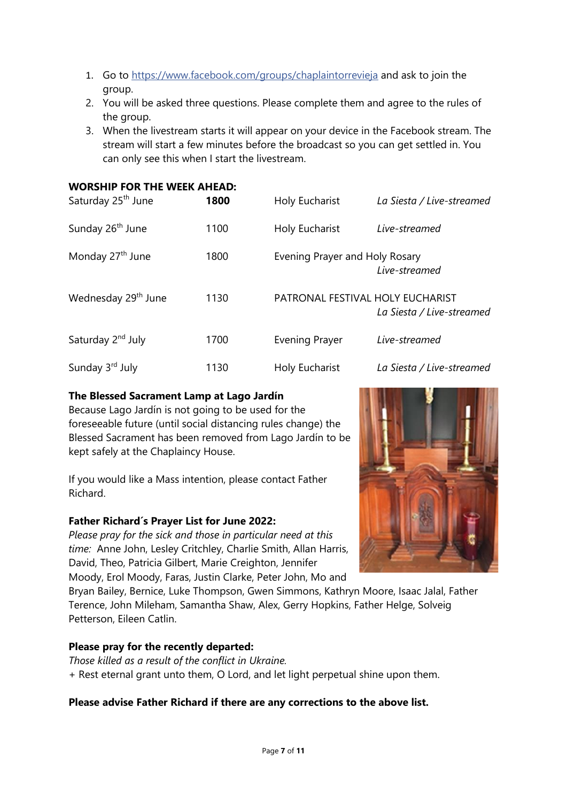- 1. Go to [https://www.facebook.com/groups/chaplaintorrevieja](https://www.facebook.com/groups/chaplaintorrevieja/) and ask to join the group.
- 2. You will be asked three questions. Please complete them and agree to the rules of the group.
- 3. When the livestream starts it will appear on your device in the Facebook stream. The stream will start a few minutes before the broadcast so you can get settled in. You can only see this when I start the livestream.

# **WORSHIP FOR THE WEEK AHEAD:**

| Saturday 25 <sup>th</sup> June  | 1800 | Holy Eucharist                   | La Siesta / Live-streamed |
|---------------------------------|------|----------------------------------|---------------------------|
| Sunday 26 <sup>th</sup> June    | 1100 | Holy Eucharist                   | Live-streamed             |
| Monday 27 <sup>th</sup> June    | 1800 | Evening Prayer and Holy Rosary   | Live-streamed             |
| Wednesday 29 <sup>th</sup> June | 1130 | PATRONAL FESTIVAL HOLY EUCHARIST | La Siesta / Live-streamed |
| Saturday 2 <sup>nd</sup> July   | 1700 | <b>Evening Prayer</b>            | Live-streamed             |
| Sunday 3rd July                 | 1130 | Holy Eucharist                   | La Siesta / Live-streamed |

# **The Blessed Sacrament Lamp at Lago Jardín**

Because Lago Jardín is not going to be used for the foreseeable future (until social distancing rules change) the Blessed Sacrament has been removed from Lago Jardín to be kept safely at the Chaplaincy House.

If you would like a Mass intention, please contact Father Richard.

# **Father Richard´s Prayer List for June 2022:**

*Please pray for the sick and those in particular need at this time:* Anne John, Lesley Critchley, Charlie Smith, Allan Harris, David, Theo, Patricia Gilbert, Marie Creighton, Jennifer Moody, Erol Moody, Faras, Justin Clarke, Peter John, Mo and

Bryan Bailey, Bernice, Luke Thompson, Gwen Simmons, Kathryn Moore, Isaac Jalal, Father Terence, John Mileham, Samantha Shaw, Alex, Gerry Hopkins, Father Helge, Solveig Petterson, Eileen Catlin.

# **Please pray for the recently departed:**

*Those killed as a result of the conflict in Ukraine.* + Rest eternal grant unto them, O Lord, and let light perpetual shine upon them.

# **Please advise Father Richard if there are any corrections to the above list.**

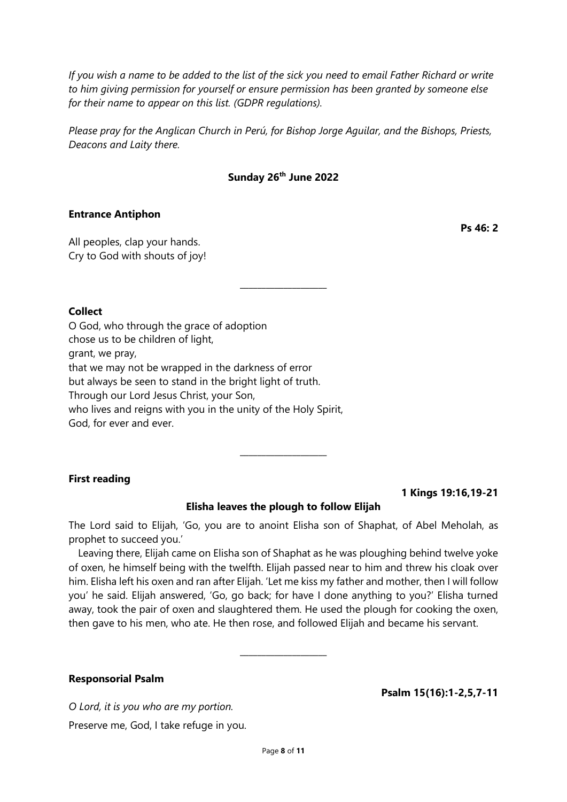*If you wish a name to be added to the list of the sick you need to email Father Richard or write to him giving permission for yourself or ensure permission has been granted by someone else for their name to appear on this list. (GDPR regulations).* 

*Please pray for the Anglican Church in Perú, for Bishop Jorge Aguilar, and the Bishops, Priests, Deacons and Laity there.*

# **Sunday 26th June 2022**

\_\_\_\_\_\_\_\_\_\_\_\_\_\_\_\_\_\_\_\_

#### **Entrance Antiphon**

All peoples, clap your hands. Cry to God with shouts of joy!

# **Collect**

O God, who through the grace of adoption chose us to be children of light, grant, we pray, that we may not be wrapped in the darkness of error but always be seen to stand in the bright light of truth. Through our Lord Jesus Christ, your Son, who lives and reigns with you in the unity of the Holy Spirit, God, for ever and ever.

#### **First reading**

**1 Kings 19:16,19-21**

#### **Elisha leaves the plough to follow Elijah**

 $\overline{\phantom{a}}$  , where  $\overline{\phantom{a}}$ 

The Lord said to Elijah, 'Go, you are to anoint Elisha son of Shaphat, of Abel Meholah, as prophet to succeed you.'

Leaving there, Elijah came on Elisha son of Shaphat as he was ploughing behind twelve yoke of oxen, he himself being with the twelfth. Elijah passed near to him and threw his cloak over him. Elisha left his oxen and ran after Elijah. 'Let me kiss my father and mother, then I will follow you' he said. Elijah answered, 'Go, go back; for have I done anything to you?' Elisha turned away, took the pair of oxen and slaughtered them. He used the plough for cooking the oxen, then gave to his men, who ate. He then rose, and followed Elijah and became his servant.

\_\_\_\_\_\_\_\_\_\_\_\_\_\_\_\_\_\_\_\_

#### **Responsorial Psalm**

**Psalm 15(16):1-2,5,7-11**

*O Lord, it is you who are my portion.* Preserve me, God, I take refuge in you. **Ps 46: 2**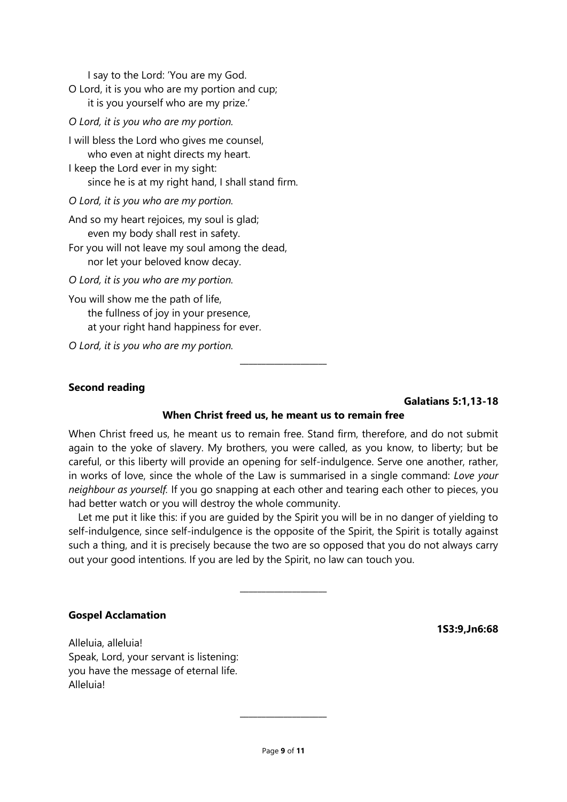I say to the Lord: 'You are my God.

O Lord, it is you who are my portion and cup; it is you yourself who are my prize.'

*O Lord, it is you who are my portion.*

I will bless the Lord who gives me counsel, who even at night directs my heart. I keep the Lord ever in my sight:

since he is at my right hand, I shall stand firm.

*O Lord, it is you who are my portion.*

And so my heart rejoices, my soul is glad; even my body shall rest in safety.

For you will not leave my soul among the dead, nor let your beloved know decay.

*O Lord, it is you who are my portion.*

You will show me the path of life, the fullness of joy in your presence, at your right hand happiness for ever.

*O Lord, it is you who are my portion.*

#### **Second reading**

**Galatians 5:1,13-18**

#### **When Christ freed us, he meant us to remain free**

 $\overline{\phantom{a}}$  , where  $\overline{\phantom{a}}$ 

When Christ freed us, he meant us to remain free. Stand firm, therefore, and do not submit again to the yoke of slavery. My brothers, you were called, as you know, to liberty; but be careful, or this liberty will provide an opening for self-indulgence. Serve one another, rather, in works of love, since the whole of the Law is summarised in a single command: *Love your neighbour as yourself.* If you go snapping at each other and tearing each other to pieces, you had better watch or you will destroy the whole community.

Let me put it like this: if you are guided by the Spirit you will be in no danger of yielding to self-indulgence, since self-indulgence is the opposite of the Spirit, the Spirit is totally against such a thing, and it is precisely because the two are so opposed that you do not always carry out your good intentions. If you are led by the Spirit, no law can touch you.

 $\overline{\phantom{a}}$  , where  $\overline{\phantom{a}}$ 

#### **Gospel Acclamation**

Alleluia, alleluia! Speak, Lord, your servant is listening: you have the message of eternal life. Alleluia!

**1S3:9,Jn6:68**

 $\overline{\phantom{a}}$  , where  $\overline{\phantom{a}}$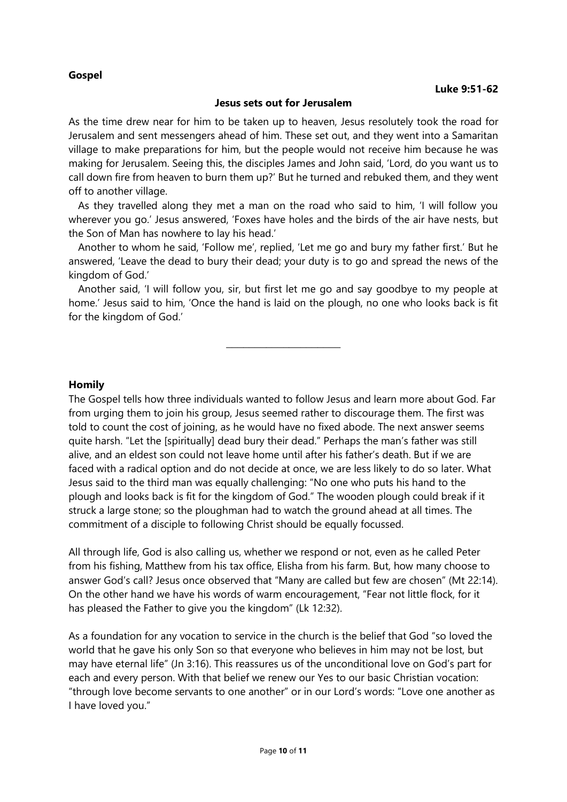## **Gospel**

#### **Jesus sets out for Jerusalem**

As the time drew near for him to be taken up to heaven, Jesus resolutely took the road for Jerusalem and sent messengers ahead of him. These set out, and they went into a Samaritan village to make preparations for him, but the people would not receive him because he was making for Jerusalem. Seeing this, the disciples James and John said, 'Lord, do you want us to call down fire from heaven to burn them up?' But he turned and rebuked them, and they went off to another village.

As they travelled along they met a man on the road who said to him, 'I will follow you wherever you go.' Jesus answered, 'Foxes have holes and the birds of the air have nests, but the Son of Man has nowhere to lay his head.'

Another to whom he said, 'Follow me', replied, 'Let me go and bury my father first.' But he answered, 'Leave the dead to bury their dead; your duty is to go and spread the news of the kingdom of God.'

Another said, 'I will follow you, sir, but first let me go and say goodbye to my people at home.' Jesus said to him, 'Once the hand is laid on the plough, no one who looks back is fit for the kingdom of God.'

\_\_\_\_\_\_\_\_\_\_\_\_\_\_\_\_\_\_\_\_

**Homily**

The Gospel tells how three individuals wanted to follow Jesus and learn more about God. Far from urging them to join his group, Jesus seemed rather to discourage them. The first was told to count the cost of joining, as he would have no fixed abode. The next answer seems quite harsh. "Let the [spiritually] dead bury their dead." Perhaps the man's father was still alive, and an eldest son could not leave home until after his father's death. But if we are faced with a radical option and do not decide at once, we are less likely to do so later. What Jesus said to the third man was equally challenging: "No one who puts his hand to the plough and looks back is fit for the kingdom of God." The wooden plough could break if it struck a large stone; so the ploughman had to watch the ground ahead at all times. The commitment of a disciple to following Christ should be equally focussed.

All through life, God is also calling us, whether we respond or not, even as he called Peter from his fishing, Matthew from his tax office, Elisha from his farm. But, how many choose to answer God's call? Jesus once observed that "Many are called but few are chosen" (Mt 22:14). On the other hand we have his words of warm encouragement, "Fear not little flock, for it has pleased the Father to give you the kingdom" (Lk 12:32).

As a foundation for any vocation to service in the church is the belief that God "so loved the world that he gave his only Son so that everyone who believes in him may not be lost, but may have eternal life" (Jn 3:16). This reassures us of the unconditional love on God's part for each and every person. With that belief we renew our Yes to our basic Christian vocation: "through love become servants to one another" or in our Lord's words: "Love one another as I have loved you."